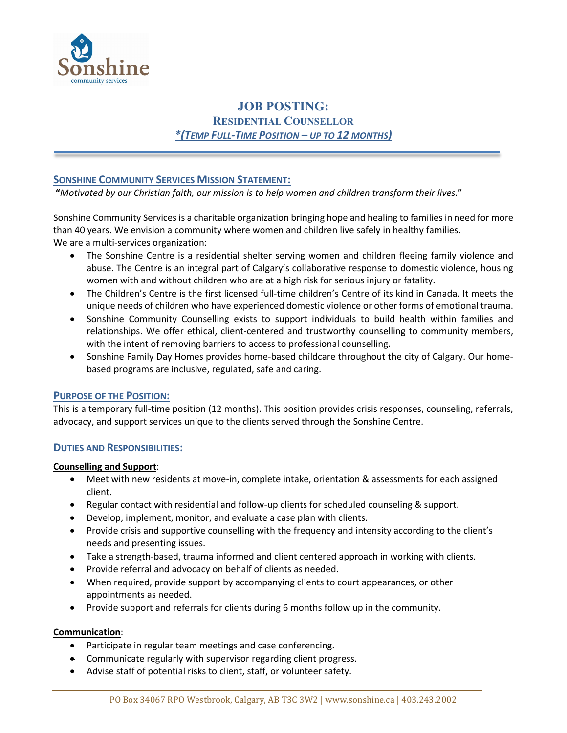

# **JOB POSTING: RESIDENTIAL COUNSELLOR**  *\*(TEMP FULL-TIME POSITION – UP TO 12 MONTHS)*

# **SONSHINE COMMUNITY SERVICES MISSION STATEMENT:**

 **"***Motivated by our Christian faith, our mission is to help women and children transform their lives.*"

Sonshine Community Services is a charitable organization bringing hope and healing to families in need for more than 40 years. We envision a community where women and children live safely in healthy families. We are a multi-services organization:

- The Sonshine Centre is a residential shelter serving women and children fleeing family violence and abuse. The Centre is an integral part of Calgary's collaborative response to domestic violence, housing women with and without children who are at a high risk for serious injury or fatality.
- The Children's Centre is the first licensed full-time children's Centre of its kind in Canada. It meets the unique needs of children who have experienced domestic violence or other forms of emotional trauma.
- Sonshine Community Counselling exists to support individuals to build health within families and relationships. We offer ethical, client-centered and trustworthy counselling to community members, with the intent of removing barriers to access to professional counselling.
- Sonshine Family Day Homes provides home-based childcare throughout the city of Calgary. Our homebased programs are inclusive, regulated, safe and caring.

## **PURPOSE OF THE POSITION:**

This is a temporary full-time position (12 months). This position provides crisis responses, counseling, referrals, advocacy, and support services unique to the clients served through the Sonshine Centre.

## **DUTIES AND RESPONSIBILITIES:**

#### **Counselling and Support**:

- Meet with new residents at move-in, complete intake, orientation & assessments for each assigned client.
- Regular contact with residential and follow-up clients for scheduled counseling & support.
- Develop, implement, monitor, and evaluate a case plan with clients.
- Provide crisis and supportive counselling with the frequency and intensity according to the client's needs and presenting issues.
- Take a strength-based, trauma informed and client centered approach in working with clients.
- Provide referral and advocacy on behalf of clients as needed.
- When required, provide support by accompanying clients to court appearances, or other appointments as needed.
- Provide support and referrals for clients during 6 months follow up in the community.

#### **Communication**:

- Participate in regular team meetings and case conferencing.
- Communicate regularly with supervisor regarding client progress.
- Advise staff of potential risks to client, staff, or volunteer safety.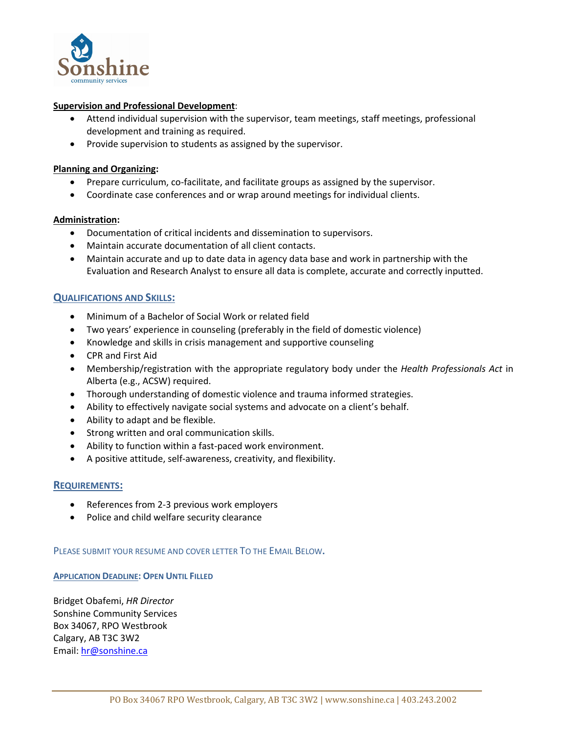

#### **Supervision and Professional Development**:

- Attend individual supervision with the supervisor, team meetings, staff meetings, professional development and training as required.
- Provide supervision to students as assigned by the supervisor.

#### **Planning and Organizing:**

- Prepare curriculum, co-facilitate, and facilitate groups as assigned by the supervisor.
- Coordinate case conferences and or wrap around meetings for individual clients.

## **Administration:**

- Documentation of critical incidents and dissemination to supervisors.
- Maintain accurate documentation of all client contacts.
- Maintain accurate and up to date data in agency data base and work in partnership with the Evaluation and Research Analyst to ensure all data is complete, accurate and correctly inputted.

## **QUALIFICATIONS AND SKILLS:**

- Minimum of a Bachelor of Social Work or related field
- Two years' experience in counseling (preferably in the field of domestic violence)
- Knowledge and skills in crisis management and supportive counseling
- CPR and First Aid
- Membership/registration with the appropriate regulatory body under the *Health Professionals Act* in Alberta (e.g., ACSW) required.
- Thorough understanding of domestic violence and trauma informed strategies.
- Ability to effectively navigate social systems and advocate on a client's behalf.
- Ability to adapt and be flexible.
- Strong written and oral communication skills.
- Ability to function within a fast-paced work environment.
- A positive attitude, self-awareness, creativity, and flexibility.

# **REQUIREMENTS:**

- References from 2-3 previous work employers
- Police and child welfare security clearance

## PLEASE SUBMIT YOUR RESUME AND COVER LETTER TO THE EMAIL BELOW**.**

## **APPLICATION DEADLINE: OPEN UNTIL FILLED**

Bridget Obafemi, *HR Director* Sonshine Community Services Box 34067, RPO Westbrook Calgary, AB T3C 3W2 Email: [hr@sonshine.ca](mailto:hr@sonshine.ca)